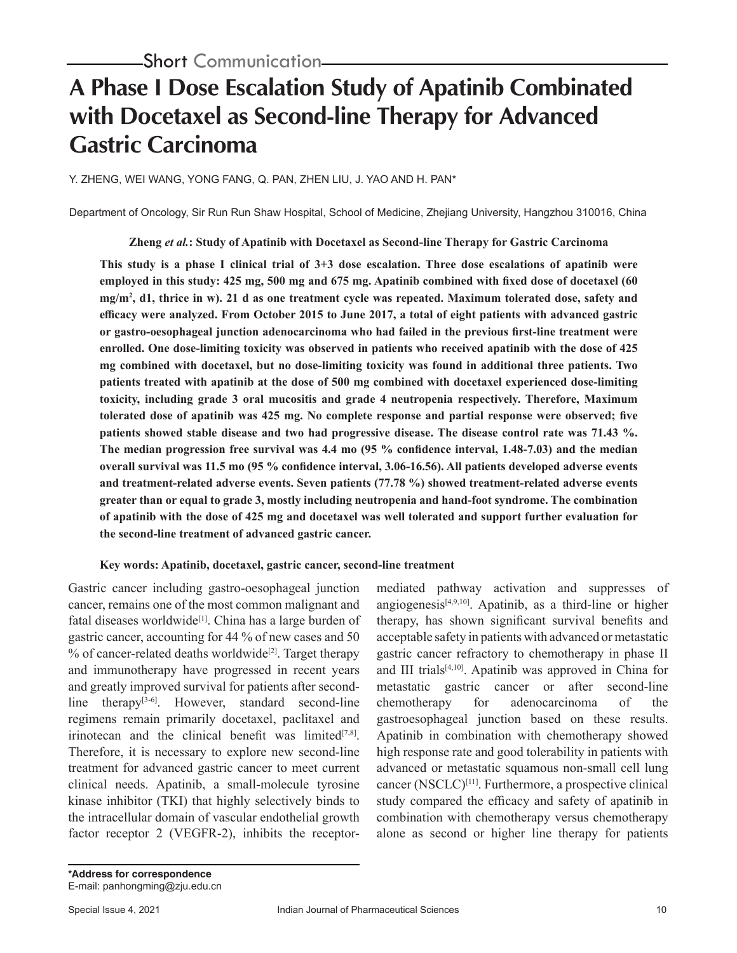# **A Phase I Dose Escalation Study of Apatinib Combinated with Docetaxel as Second-line Therapy for Advanced Gastric Carcinoma**

Y. ZHENG, WEI WANG, YONG FANG, Q. PAN, ZHEN LIU, J. YAO AND H. PAN\*

Department of Oncology, Sir Run Run Shaw Hospital, School of Medicine, Zhejiang University, Hangzhou 310016, China

**Zheng** *et al.***: Study of Apatinib with Docetaxel as Second-line Therapy for Gastric Carcinoma**

**This study is a phase I clinical trial of 3+3 dose escalation. Three dose escalations of apatinib were employed in this study: 425 mg, 500 mg and 675 mg. Apatinib combined with fixed dose of docetaxel (60 mg/m2 , d1, thrice in w). 21 d as one treatment cycle was repeated. Maximum tolerated dose, safety and efficacy were analyzed. From October 2015 to June 2017, a total of eight patients with advanced gastric or gastro-oesophageal junction adenocarcinoma who had failed in the previous first-line treatment were enrolled. One dose-limiting toxicity was observed in patients who received apatinib with the dose of 425 mg combined with docetaxel, but no dose-limiting toxicity was found in additional three patients. Two patients treated with apatinib at the dose of 500 mg combined with docetaxel experienced dose-limiting toxicity, including grade 3 oral mucositis and grade 4 neutropenia respectively. Therefore, Maximum tolerated dose of apatinib was 425 mg. No complete response and partial response were observed; five patients showed stable disease and two had progressive disease. The disease control rate was 71.43 %. The median progression free survival was 4.4 mo (95 % confidence interval, 1.48-7.03) and the median overall survival was 11.5 mo (95 % confidence interval, 3.06-16.56). All patients developed adverse events and treatment-related adverse events. Seven patients (77.78 %) showed treatment-related adverse events greater than or equal to grade 3, mostly including neutropenia and hand-foot syndrome. The combination of apatinib with the dose of 425 mg and docetaxel was well tolerated and support further evaluation for the second-line treatment of advanced gastric cancer.** 

#### **Key words: Apatinib, docetaxel, gastric cancer, second-line treatment**

Gastric cancer including gastro-oesophageal junction cancer, remains one of the most common malignant and fatal diseases worldwide<sup>[1]</sup>. China has a large burden of gastric cancer, accounting for 44 % of new cases and 50  $%$  of cancer-related deaths worldwide<sup>[2]</sup>. Target therapy and immunotherapy have progressed in recent years and greatly improved survival for patients after secondline therapy<sup>[3-6]</sup>. However, standard second-line regimens remain primarily docetaxel, paclitaxel and irinotecan and the clinical benefit was limited $[7,8]$ . Therefore, it is necessary to explore new second-line treatment for advanced gastric cancer to meet current clinical needs. Apatinib, a small-molecule tyrosine kinase inhibitor (TKI) that highly selectively binds to the intracellular domain of vascular endothelial growth factor receptor 2 (VEGFR-2), inhibits the receptormediated pathway activation and suppresses of angiogenesis<sup>[4,9,10]</sup>. Apatinib, as a third-line or higher therapy, has shown significant survival benefits and acceptable safety in patients with advanced or metastatic gastric cancer refractory to chemotherapy in phase II and III trials<sup>[4,10]</sup>. Apatinib was approved in China for metastatic gastric cancer or after second-line chemotherapy for adenocarcinoma of the gastroesophageal junction based on these results. Apatinib in combination with chemotherapy showed high response rate and good tolerability in patients with advanced or metastatic squamous non-small cell lung cancer  $(NSCLC)^{[11]}$ . Furthermore, a prospective clinical study compared the efficacy and safety of apatinib in combination with chemotherapy versus chemotherapy alone as second or higher line therapy for patients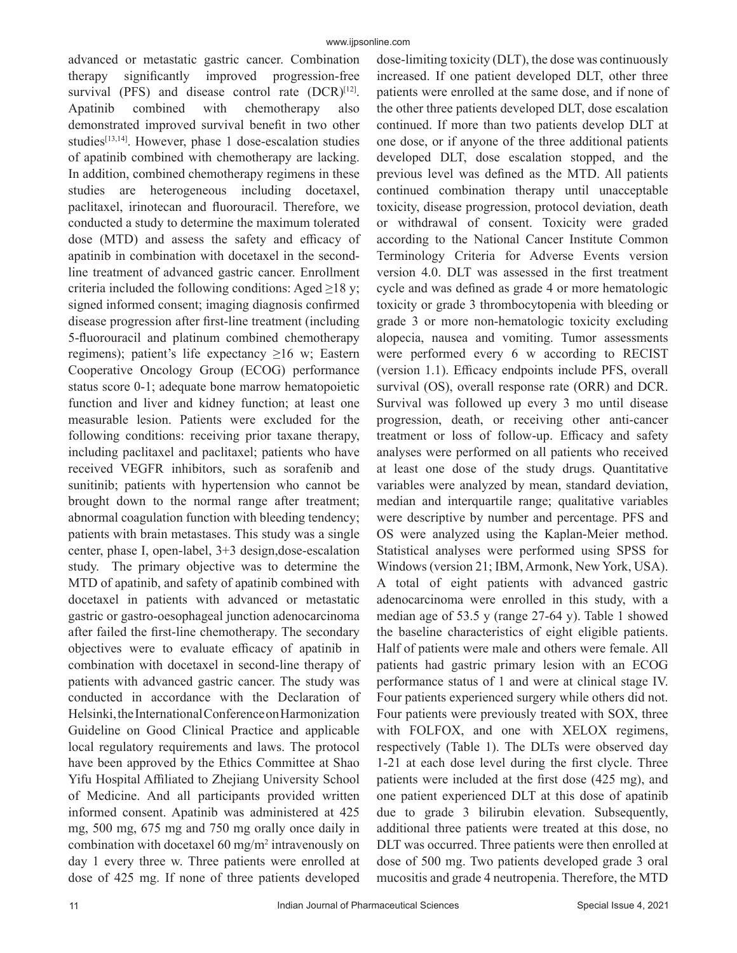advanced or metastatic gastric cancer. Combination therapy significantly improved progression-free survival (PFS) and disease control rate (DCR)<sup>[12]</sup>. Apatinib combined with chemotherapy also demonstrated improved survival benefit in two other studies<sup>[13,14]</sup>. However, phase 1 dose-escalation studies of apatinib combined with chemotherapy are lacking. In addition, combined chemotherapy regimens in these studies are heterogeneous including docetaxel, paclitaxel, irinotecan and fluorouracil. Therefore, we conducted a study to determine the maximum tolerated dose (MTD) and assess the safety and efficacy of apatinib in combination with docetaxel in the secondline treatment of advanced gastric cancer. Enrollment criteria included the following conditions: Aged  $\geq$ 18 y; signed informed consent; imaging diagnosis confirmed disease progression after first-line treatment (including 5-fluorouracil and platinum combined chemotherapy regimens); patient's life expectancy ≥16 w; Eastern Cooperative Oncology Group (ECOG) performance status score 0-1; adequate bone marrow hematopoietic function and liver and kidney function; at least one measurable lesion. Patients were excluded for the following conditions: receiving prior taxane therapy, including paclitaxel and paclitaxel; patients who have received VEGFR inhibitors, such as sorafenib and sunitinib; patients with hypertension who cannot be brought down to the normal range after treatment; abnormal coagulation function with bleeding tendency; patients with brain metastases. This study was a single center, phase I, open-label, 3+3 design,dose-escalation study. The primary objective was to determine the MTD of apatinib, and safety of apatinib combined with docetaxel in patients with advanced or metastatic gastric or gastro-oesophageal junction adenocarcinoma after failed the first-line chemotherapy. The secondary objectives were to evaluate efficacy of apatinib in combination with docetaxel in second-line therapy of patients with advanced gastric cancer. The study was conducted in accordance with the Declaration of Helsinki, the International Conference on Harmonization Guideline on Good Clinical Practice and applicable local regulatory requirements and laws. The protocol have been approved by the Ethics Committee at Shao Yifu Hospital Affiliated to Zhejiang University School of Medicine. And all participants provided written informed consent. Apatinib was administered at 425 mg, 500 mg, 675 mg and 750 mg orally once daily in combination with docetaxel  $60 \text{ mg/m}^2$  intravenously on day 1 every three w. Three patients were enrolled at dose of 425 mg. If none of three patients developed

dose-limiting toxicity (DLT), the dose was continuously increased. If one patient developed DLT, other three patients were enrolled at the same dose, and if none of the other three patients developed DLT, dose escalation continued. If more than two patients develop DLT at one dose, or if anyone of the three additional patients developed DLT, dose escalation stopped, and the previous level was defined as the MTD. All patients continued combination therapy until unacceptable toxicity, disease progression, protocol deviation, death or withdrawal of consent. Toxicity were graded according to the National Cancer Institute Common Terminology Criteria for Adverse Events version version 4.0. DLT was assessed in the first treatment cycle and was defined as grade 4 or more hematologic toxicity or grade 3 thrombocytopenia with bleeding or grade 3 or more non-hematologic toxicity excluding alopecia, nausea and vomiting. Tumor assessments were performed every 6 w according to RECIST (version 1.1). Efficacy endpoints include PFS, overall survival (OS), overall response rate (ORR) and DCR. Survival was followed up every 3 mo until disease progression, death, or receiving other anti-cancer treatment or loss of follow-up. Efficacy and safety analyses were performed on all patients who received at least one dose of the study drugs. Quantitative variables were analyzed by mean, standard deviation, median and interquartile range; qualitative variables were descriptive by number and percentage. PFS and OS were analyzed using the Kaplan-Meier method. Statistical analyses were performed using SPSS for Windows (version 21; IBM, Armonk, New York, USA). A total of eight patients with advanced gastric adenocarcinoma were enrolled in this study, with a median age of 53.5 y (range 27-64 y). Table 1 showed the baseline characteristics of eight eligible patients. Half of patients were male and others were female. All patients had gastric primary lesion with an ECOG performance status of 1 and were at clinical stage IV. Four patients experienced surgery while others did not. Four patients were previously treated with SOX, three with FOLFOX, and one with XELOX regimens, respectively (Table 1). The DLTs were observed day 1-21 at each dose level during the first clycle. Three patients were included at the first dose (425 mg), and one patient experienced DLT at this dose of apatinib due to grade 3 bilirubin elevation. Subsequently, additional three patients were treated at this dose, no DLT was occurred. Three patients were then enrolled at dose of 500 mg. Two patients developed grade 3 oral mucositis and grade 4 neutropenia. Therefore, the MTD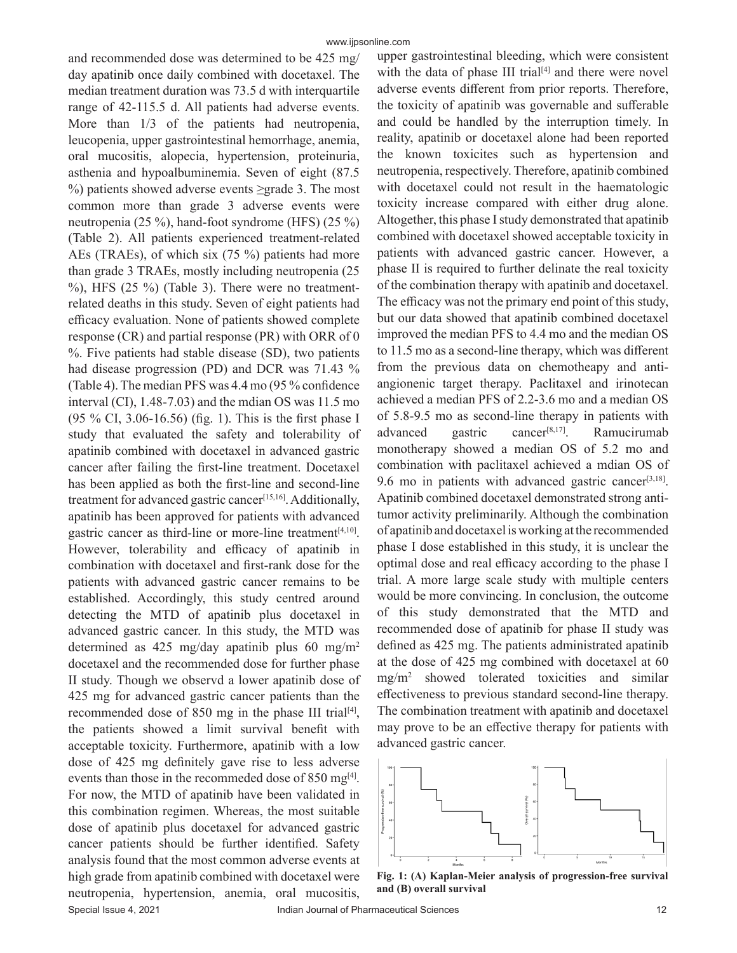Special Issue 4, 2021 **Indian Journal of Pharmaceutical Sciences** 12 and 12 and recommended dose was determined to be 425 mg/ day apatinib once daily combined with docetaxel. The median treatment duration was 73.5 d with interquartile range of 42-115.5 d. All patients had adverse events. More than 1/3 of the patients had neutropenia, leucopenia, upper gastrointestinal hemorrhage, anemia, oral mucositis, alopecia, hypertension, proteinuria, asthenia and hypoalbuminemia. Seven of eight (87.5 %) patients showed adverse events ≥grade 3. The most common more than grade 3 adverse events were neutropenia (25 %), hand-foot syndrome (HFS) (25 %) (Table 2). All patients experienced treatment-related AEs (TRAEs), of which six (75 %) patients had more than grade 3 TRAEs, mostly including neutropenia (25 %), HFS (25 %) (Table 3). There were no treatmentrelated deaths in this study. Seven of eight patients had efficacy evaluation. None of patients showed complete response (CR) and partial response (PR) with ORR of 0 %. Five patients had stable disease (SD), two patients had disease progression (PD) and DCR was 71.43 % (Table 4). The median PFS was 4.4 mo (95 % confidence interval (CI), 1.48-7.03) and the mdian OS was 11.5 mo (95 % CI, 3.06-16.56) (fig. 1). This is the first phase I study that evaluated the safety and tolerability of apatinib combined with docetaxel in advanced gastric cancer after failing the first-line treatment. Docetaxel has been applied as both the first-line and second-line treatment for advanced gastric cancer<sup>[15,16]</sup>. Additionally, apatinib has been approved for patients with advanced gastric cancer as third-line or more-line treatment<sup>[4,10]</sup>. However, tolerability and efficacy of apatinib in combination with docetaxel and first-rank dose for the patients with advanced gastric cancer remains to be established. Accordingly, this study centred around detecting the MTD of apatinib plus docetaxel in advanced gastric cancer. In this study, the MTD was determined as 425 mg/day apatinib plus 60 mg/m<sup>2</sup> docetaxel and the recommended dose for further phase II study. Though we observd a lower apatinib dose of 425 mg for advanced gastric cancer patients than the recommended dose of 850 mg in the phase III trial<sup>[4]</sup>, the patients showed a limit survival benefit with acceptable toxicity. Furthermore, apatinib with a low dose of 425 mg definitely gave rise to less adverse events than those in the recommeded dose of 850 mg<sup>[4]</sup>. For now, the MTD of apatinib have been validated in this combination regimen. Whereas, the most suitable dose of apatinib plus docetaxel for advanced gastric cancer patients should be further identified. Safety analysis found that the most common adverse events at high grade from apatinib combined with docetaxel were neutropenia, hypertension, anemia, oral mucositis,

upper gastrointestinal bleeding, which were consistent with the data of phase III trial<sup>[4]</sup> and there were novel adverse events different from prior reports. Therefore, the toxicity of apatinib was governable and sufferable and could be handled by the interruption timely. In reality, apatinib or docetaxel alone had been reported the known toxicites such as hypertension and neutropenia, respectively. Therefore, apatinib combined with docetaxel could not result in the haematologic toxicity increase compared with either drug alone. Altogether, this phase I study demonstrated that apatinib combined with docetaxel showed acceptable toxicity in patients with advanced gastric cancer. However, a phase II is required to further delinate the real toxicity of the combination therapy with apatinib and docetaxel. The efficacy was not the primary end point of this study, but our data showed that apatinib combined docetaxel improved the median PFS to 4.4 mo and the median OS to 11.5 mo as a second-line therapy, which was different from the previous data on chemotheapy and antiangionenic target therapy. Paclitaxel and irinotecan achieved a median PFS of 2.2-3.6 mo and a median OS of 5.8-9.5 mo as second-line therapy in patients with advanced gastric cancer<sup>[8,17]</sup>. Ramucirumab monotherapy showed a median OS of 5.2 mo and combination with paclitaxel achieved a mdian OS of 9.6 mo in patients with advanced gastric cancer $[3,18]$ . Apatinib combined docetaxel demonstrated strong antitumor activity preliminarily. Although the combination of apatinib and docetaxel is working at the recommended phase I dose established in this study, it is unclear the optimal dose and real efficacy according to the phase I trial. A more large scale study with multiple centers would be more convincing. In conclusion, the outcome of this study demonstrated that the MTD and recommended dose of apatinib for phase II study was defined as 425 mg. The patients administrated apatinib at the dose of 425 mg combined with docetaxel at 60 mg/m2 showed tolerated toxicities and similar effectiveness to previous standard second-line therapy. The combination treatment with apatinib and docetaxel may prove to be an effective therapy for patients with advanced gastric cancer.



**Fig. 1: (A) Kaplan-Meier analysis of progression-free survival and (B) overall survival**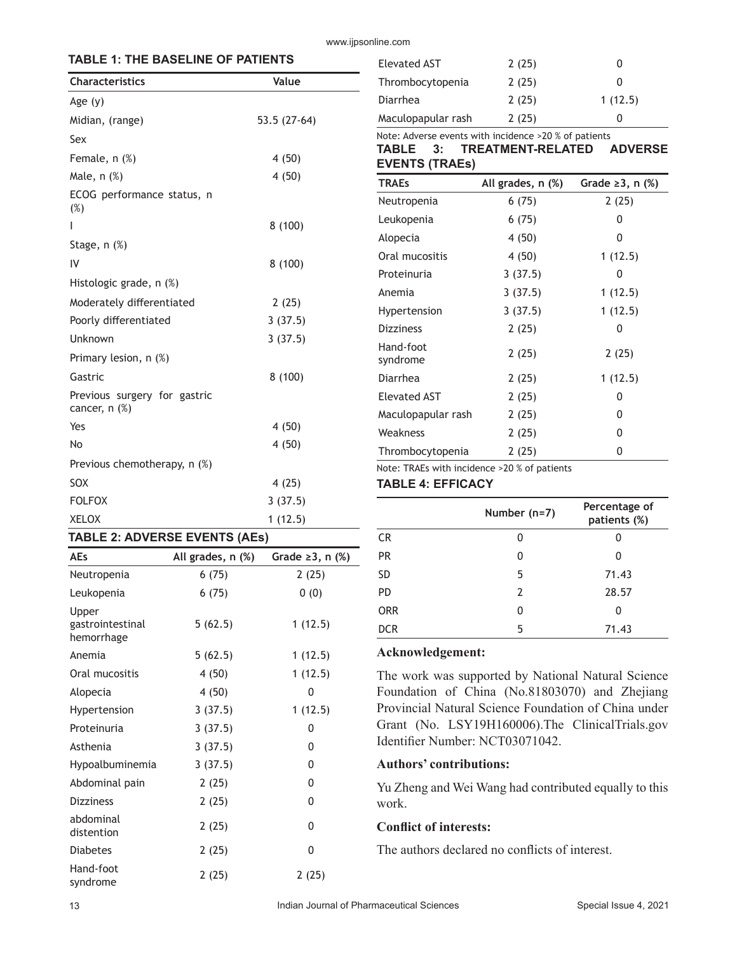#### www.ijpsonline.com

# **TABLE 1: THE BASELINE OF PATIENTS**

| <b>Characteristics</b>                          | Value        |
|-------------------------------------------------|--------------|
| Age $(y)$                                       |              |
| Midian, (range)                                 | 53.5 (27-64) |
| Sex                                             |              |
| Female, n (%)                                   | 4(50)        |
| Male, n (%)                                     | 4 (50)       |
| ECOG performance status, n<br>(%)               |              |
| I                                               | 8(100)       |
| Stage, $n$ $(\%)$                               |              |
| IV                                              | 8 (100)      |
| Histologic grade, n (%)                         |              |
| Moderately differentiated                       | 2(25)        |
| Poorly differentiated                           | 3(37.5)      |
| Unknown                                         | 3(37.5)      |
| Primary lesion, n (%)                           |              |
| Gastric                                         | 8(100)       |
| Previous surgery for gastric<br>cancer, $n$ $%$ |              |
| Yes                                             | 4 (50)       |
| No                                              | 4 (50)       |
| Previous chemotherapy, n (%)                    |              |
| SOX                                             | 4 (25)       |
| <b>FOLFOX</b>                                   | 3(37.5)      |
| <b>XELOX</b>                                    | 1(12.5)      |

### **TABLE 2: ADVERSE EVENTS (AEs)**

| <b>AEs</b>                              | All grades, n (%) | Grade $\geq 3$ , n $(\%)$ |
|-----------------------------------------|-------------------|---------------------------|
| Neutropenia                             | 6(75)             | 2(25)                     |
| Leukopenia                              | 6(75)             | 0(0)                      |
| Upper<br>gastrointestinal<br>hemorrhage | 5(62.5)           | 1(12.5)                   |
| Anemia                                  | 5(62.5)           | 1(12.5)                   |
| Oral mucositis                          | 4 (50)            | 1(12.5)                   |
| Alopecia                                | 4 (50)            | 0                         |
| Hypertension                            | 3(37.5)           | 1(12.5)                   |
| Proteinuria                             | 3(37.5)           | 0                         |
| Asthenia                                | 3(37.5)           | 0                         |
| Hypoalbuminemia                         | 3(37.5)           | 0                         |
| Abdominal pain                          | 2(25)             | 0                         |
| <b>Dizziness</b>                        | 2(25)             | 0                         |
| abdominal<br>distention                 | 2(25)             | 0                         |
| <b>Diabetes</b>                         | 2 (25)            | 0                         |
| Hand-foot<br>syndrome                   | 2(25)             | 2(25)                     |

| Elevated AST       | 2(25) |         |
|--------------------|-------|---------|
| Thrombocytopenia   | 2(25) | 0       |
| Diarrhea           | 2(25) | 1(12.5) |
| Maculopapular rash | 2(25) |         |
|                    |       |         |

### Note: Adverse events with incidence >20 % of patients **TABLE 3: TREATMENT-RELATED ADVERSE EVENTS (TRAEs)**

| <b>TRAEs</b>          | All grades, n (%) | Grade $\geq$ 3, n (%) |
|-----------------------|-------------------|-----------------------|
| Neutropenia           | 6(75)             | 2(25)                 |
| Leukopenia            | 6(75)             | 0                     |
| Alopecia              | 4(50)             | 0                     |
| Oral mucositis        | 4 (50)            | 1(12.5)               |
| Proteinuria           | 3(37.5)           | 0                     |
| Anemia                | 3(37.5)           | 1 (12.5)              |
| Hypertension          | 3(37.5)           | 1(12.5)               |
| <b>Dizziness</b>      | 2(25)             | 0                     |
| Hand-foot<br>syndrome | 2(25)             | 2(25)                 |
| Diarrhea              | 2(25)             | 1 (12.5)              |
| <b>Elevated AST</b>   | 2(25)             | 0                     |
| Maculopapular rash    | 2(25)             | 0                     |
| Weakness              | 2(25)             | 0                     |
| Thrombocytopenia      | 2(25)             | 0                     |

Note: TRAEs with incidence >20 % of patients

### **TABLE 4: EFFICACY**

|            | Number (n=7) | Percentage of<br>patients (%) |
|------------|--------------|-------------------------------|
| CR         | 0            |                               |
| PR         | 0            | O                             |
| SD         | 5            | 71.43                         |
| PD         | 2            | 28.57                         |
| <b>ORR</b> | 0            | O                             |
| <b>DCR</b> | 5            | 71.43                         |

#### **Acknowledgement:**

The work was supported by National Natural Science Foundation of China (No.81803070) and Zhejiang Provincial Natural Science Foundation of China under Grant (No. LSY19H160006).The ClinicalTrials.gov Identifier Number: NCT03071042.

# **Authors' contributions:**

Yu Zheng and Wei Wang had contributed equally to this work.

# **Conflict of interests:**

The authors declared no conflicts of interest.